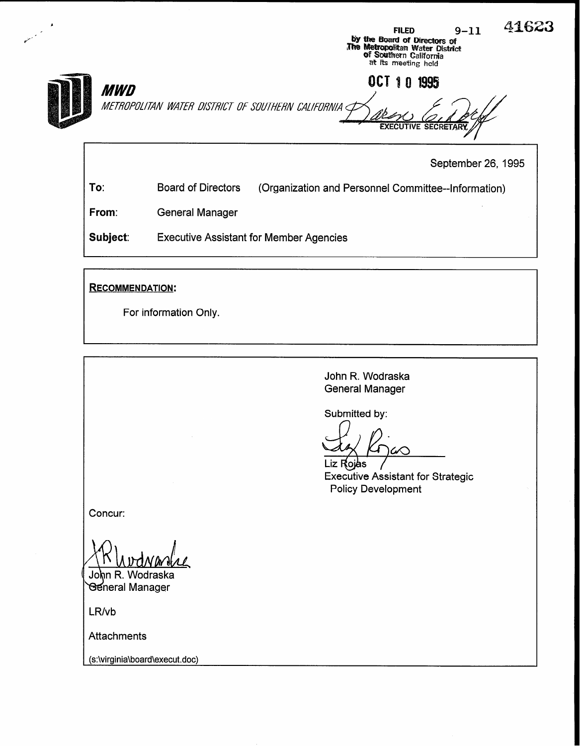FILED  $9-11$  41623 by the Board of Directors of<br>The Metropolitan Water District **of Southern C**aliforni<br>at its meeting held OCT 10 1995 **MWD** METROPOLITAN WATER DISTRICT OF SOUTHERN CALIFORNIA **EXECUTIVE SECRETA** September 26, 1995

To: Board of Directors (Organization and Personnel Committee--Information)

From: General Manager

Subject: Executive Assistant for Member Agencies

RECOMMENDATION:

For information Only.

John R. Wodraska General Manager

Submitted by:

Liz Rojas Executive Assistant for Strategic Policy Development

Concur:

John R. Wodraska **General Manager** 

LR/vb

**Attachments** 

(s:\virginia\board\execut.doc)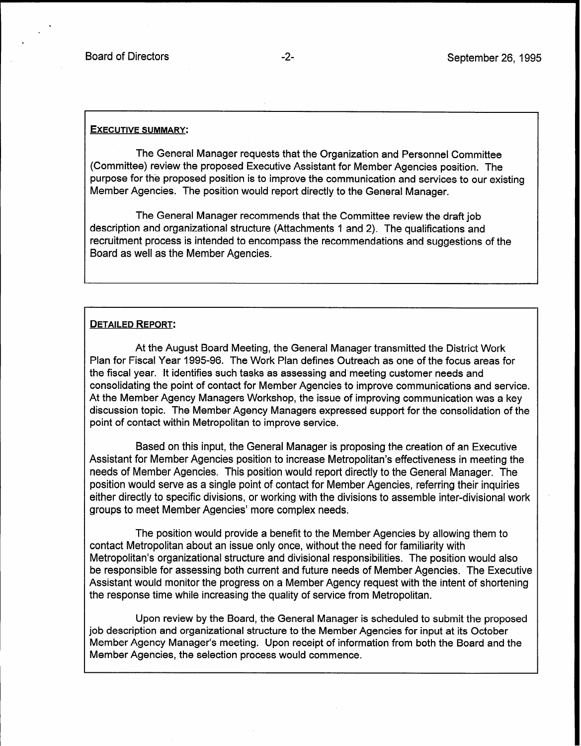#### EXECUTIVE SUMMARY:

The General Manager requests that the Organization and Personnel Committee (Committee) review the proposed Executive Assistant for Member Agencies position. The purpose for the proposed position is to improve the communication and services to our existing Member Agencies. The position would report directly to the General Manager.

The General Manager recommends that the Committee review the draft job description and organizational structure (Attachments 1 and 2). The qualifications and recruitment process is intended to encompass the recommendations and suggestions of the Board as well as the Member Agencies.

#### DETAILED REPORT:

At the August Board Meeting, the General Manager transmitted the District Work Plan for Fiscal Year 1995-96. The Work Plan defines Outreach as one of the focus areas for the fiscal year. It identifies such tasks as assessing and meeting customer needs and consolidating the point of contact for Member Agencies to improve communications and service. At the Member Agency Managers Workshop, the issue of improving communication was a key discussion topic. The Member Agency Managers expressed support for the consolidation of the point of contact within Metropolitan to improve service.

Based on this input, the General Manager is proposing the creation of an Executive Assistant for Member Agencies position to increase Metropolitan's effectiveness in meeting the needs of Member Agencies. This position would report directly to the General Manager. The position would serve as a single point of contact for Member Agencies, referring their inquiries either directly to specific divisions, or working with the divisions to assemble inter-divisional work groups to meet Member Agencies' more complex needs.

The position would provide a benefit to the Member Agencies by allowing them to contact Metropolitan about an issue only once, without the need for familiarity with Metropolitan's organizational structure and divisional responsibilities. The position would also be responsible for assessing both current and future needs of Member Agencies. The Executive Assistant would monitor the progress on a Member Agency request with the intent of shortening the response time while increasing the quality of service from Metropolitan.

Upon review by the Board, the General Manager is scheduled to submit the proposed job description and organizational structure to the Member Agencies for input at its October Member Agency Manager's meeting. Upon receipt of information from both the Board and the Member Agencies, the selection process would commence.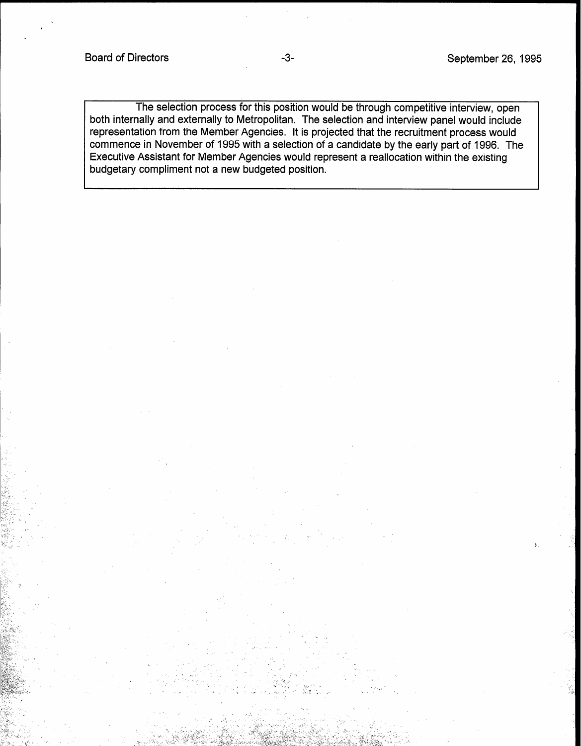The selection process for this position would be through competitive interview, open both internally and externally to Metropolitan. The selection and interview panel would include representation from the Member Agencies. It is projected that the recruitment process would commence in November of 1995 with a selection of a candidate by the early part of 1996. The Executive Assistant for Member Agencies would represent a reallocation within the existing budgetary compliment not a new budgeted position.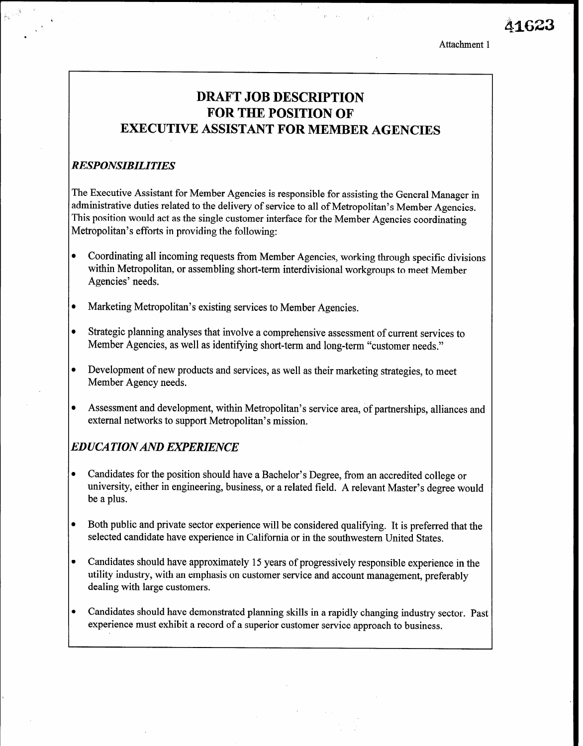Attachment 1

## DRAFT JOB DESCRIPTION FOR THE POSITION OF EXECUTIVE ASSISTANT FOR MEMBER AGENCIES

:. ,

#### RESPONSIBILITIES

Ihe Executive Assistant for Member Agencies is responsible for assisting the General Manager in administrative duties related to the delivery of service to all of Metropolitan's Member Agencies. This position would act as the single customer interface for the Member Agencies coordinating Metropolitan's efforts in providing the following:

- Coordinating all incoming requests from Member Agencies, working through specific divisions within Metropolitan, or assembling short-term interdivisional workgroups to meet Member Agencies' needs.
- Marketing Metropolitan's existing services to Member Agencies.
- Strategic planning analyses that involve a comprehensive assessment of current services to Member Agencies, as well as identifying short-term and long-term "customer needs."
- Development of new products and services, as well as their marketing strategies, to meet Member Agency needs.
- Assessment and development, within Metropolitan's service area, of partnerships, alliances and external networks to support Metropolitan's mission.

### EDUCATIONAND EXPERIENCE

- Candidates for the position should have a Bachelor's Degree, from an accredited college or university, either in engineering, business, or a related field. A relevant Master's degree would be a plus.
- Both public and private sector experience will be considered qualifying. It is preferred that the selected candidate have experience in California or in the southwestern United States.
- <sup>l</sup>Candidates should have approximately 15 years of progressively responsible experience in the utility induces the angle of the emphasis of customer service and account management, preferably management, pr utility industry, with an emphasis on customer service and account management, preferably dealing with large customers.
- lcandidates showled planning showled planning skills in a rapidly changing industry sector. candidates should have demonstrated planning skills in a rapidly changing muustry se